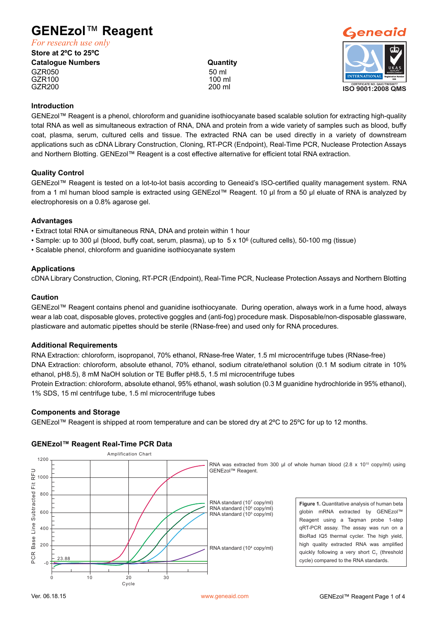# **GENEzol**™ **Reagent**

*For research use only*

**Store at 2ºC to 25ºC**

**Catalogue Numbers Catalogue Numbers Catalogue Numbers Quantity** GZR050 50 ml<br>GZR100 50 ml 50 ml 50 ml 50 ml 50 ml 50 ml 50 ml 50 ml 50 ml 50 ml 50 ml 50 ml 50 ml 50 ml 50 ml 50 ml 50 ml 50 GZR100 100 ml GZR200 200 ml



#### **Introduction**

GENEzol™ Reagent is a phenol, chloroform and guanidine isothiocyanate based scalable solution for extracting high-quality total RNA as well as simultaneous extraction of RNA, DNA and protein from a wide variety of samples such as blood, buffy coat, plasma, serum, cultured cells and tissue. The extracted RNA can be used directly in a variety of downstream applications such as cDNA Library Construction, Cloning, RT-PCR (Endpoint), Real-Time PCR, Nuclease Protection Assays and Northern Blotting. GENEzol™ Reagent is a cost effective alternative for efficient total RNA extraction.

# **Quality Control**

GENEzol™ Reagent is tested on a lot-to-lot basis according to Geneaid's ISO-certified quality management system. RNA from a 1 ml human blood sample is extracted using GENEzol™ Reagent. 10 µl from a 50 µl eluate of RNA is analyzed by electrophoresis on a 0.8% agarose gel.

#### **Advantages**

- Extract total RNA or simultaneous RNA, DNA and protein within 1 hour
- Sample: up to 300 µl (blood, buffy coat, serum, plasma), up to 5 x 10<sup>6</sup> (cultured cells), 50-100 mg (tissue)
- Scalable phenol, chloroform and guanidine isothiocyanate system

# **Applications**

cDNA Library Construction, Cloning, RT-PCR (Endpoint), Real-Time PCR, Nuclease Protection Assays and Northern Blotting

#### **Caution**

GENEzol™ Reagent contains phenol and guanidine isothiocyanate. During operation, always work in a fume hood, always wear a lab coat, disposable gloves, protective goggles and (anti-fog) procedure mask. Disposable/non-disposable glassware, plasticware and automatic pipettes should be sterile (RNase-free) and used only for RNA procedures.

# **Additional Requirements**

RNA Extraction: chloroform, isopropanol, 70% ethanol, RNase-free Water, 1.5 ml microcentrifuge tubes (RNase-free) DNA Extraction: chloroform, absolute ethanol, 70% ethanol, sodium citrate/ethanol solution (0.1 M sodium citrate in 10% ethanol, pH8.5), 8 mM NaOH solution or TE Buffer pH8.5, 1.5 ml microcentrifuge tubes

Protein Extraction: chloroform, absolute ethanol, 95% ethanol, wash solution (0.3 M guanidine hydrochloride in 95% ethanol), 1% SDS, 15 ml centrifuge tube, 1.5 ml microcentrifuge tubes

# **Components and Storage**

GENEzol™ Reagent is shipped at room temperature and can be stored dry at 2ºC to 25ºC for up to 12 months.

# **GENEzol™ Reagent Real-Time PCR Data**

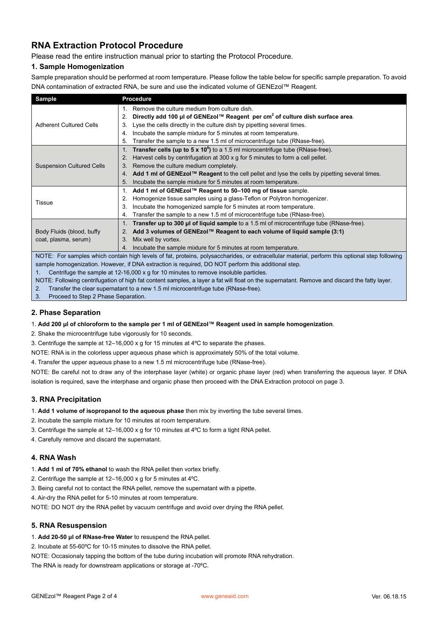# **RNA Extraction Protocol Procedure**

Please read the entire instruction manual prior to starting the Protocol Procedure.

#### **1. Sample Homogenization**

Sample preparation should be performed at room temperature. Please follow the table below for specific sample preparation. To avoid DNA contamination of extracted RNA, be sure and use the indicated volume of GENEzol™ Reagent.

| <b>Sample</b>                                                                                                                      | <b>Procedure</b>                                                                                     |  |  |
|------------------------------------------------------------------------------------------------------------------------------------|------------------------------------------------------------------------------------------------------|--|--|
|                                                                                                                                    | Remove the culture medium from culture dish.                                                         |  |  |
| <b>Adherent Cultured Cells</b>                                                                                                     | Directly add 100 µl of GENEzol™ Reagent per cm <sup>2</sup> of culture dish surface area.<br>2.      |  |  |
|                                                                                                                                    | Lyse the cells directly in the culture dish by pipetting several times.<br>3.                        |  |  |
|                                                                                                                                    | Incubate the sample mixture for 5 minutes at room temperature.<br>4.                                 |  |  |
|                                                                                                                                    | Transfer the sample to a new 1.5 ml of microcentrifuge tube (RNase-free).<br>5.                      |  |  |
|                                                                                                                                    | Transfer cells (up to $5 \times 10^6$ ) to a 1.5 ml microcentrifuge tube (RNase-free).               |  |  |
| <b>Suspension Cultured Cells</b>                                                                                                   | Harvest cells by centrifugation at 300 x g for 5 minutes to form a cell pellet.<br>2.                |  |  |
|                                                                                                                                    | Remove the culture medium completely.<br>3.                                                          |  |  |
|                                                                                                                                    | Add 1 ml of GENEzol™ Reagent to the cell pellet and lyse the cells by pipetting several times.<br>4. |  |  |
|                                                                                                                                    | Incubate the sample mixture for 5 minutes at room temperature.<br>5.                                 |  |  |
|                                                                                                                                    | Add 1 ml of GENEzol™ Reagent to 50-100 mg of tissue sample.<br>1.                                    |  |  |
| Tissue                                                                                                                             | Homogenize tissue samples using a glass-Teflon or Polytron homogenizer.<br>2.                        |  |  |
|                                                                                                                                    | Incubate the homogenized sample for 5 minutes at room temperature.<br>3.                             |  |  |
|                                                                                                                                    | Transfer the sample to a new 1.5 ml of microcentrifuge tube (RNase-free).<br>4.                      |  |  |
|                                                                                                                                    | <b>Transfer up to 300 µl of liquid sample</b> to a 1.5 ml of microcentrifuge tube (RNase-free).      |  |  |
| Body Fluids (blood, buffy                                                                                                          | Add 3 volumes of GENEzol™ Reagent to each volume of liquid sample (3:1)<br>2.                        |  |  |
| coat, plasma, serum)                                                                                                               | Mix well by vortex.<br>3.                                                                            |  |  |
|                                                                                                                                    | Incubate the sample mixture for 5 minutes at room temperature.<br>4.                                 |  |  |
| MOTE. Essessades ubjek esateja kiek leude effet antejas askasadesides en subesalkilen meterial mederas this entimed stan following |                                                                                                      |  |  |

NOTE: For samples which contain high levels of fat, proteins, polysaccharides, or extracellular material, perform this optional step following sample homogenization. However, if DNA extraction is required, DO NOT perform this additional step.

1. Centrifuge the sample at 12-16,000 x g for 10 minutes to remove insoluble particles.

NOTE: Following centrifugation of high fat content samples, a layer a fat will float on the supernatant. Remove and discard the fatty layer.

2. Transfer the clear supernatant to a new 1.5 ml microcentrifuge tube (RNase-free).

3. Proceed to Step 2 Phase Separation.

#### **2. Phase Separation**

1. **Add 200 μl of chloroform to the sample per 1 ml of GENEzol™ Reagent used in sample homogenization**.

2. Shake the microcentrifuge tube vigorously for 10 seconds.

3. Centrifuge the sample at 12–16,000 x g for 15 minutes at 4ºC to separate the phases.

NOTE: RNA is in the colorless upper aqueous phase which is approximately 50% of the total volume.

4. Transfer the upper aqueous phase to a new 1.5 ml microcentrifuge tube (RNase-free).

NOTE: Be careful not to draw any of the interphase layer (white) or organic phase layer (red) when transferring the aqueous layer. If DNA isolation is required, save the interphase and organic phase then proceed with the DNA Extraction protocol on page 3.

#### **3. RNA Precipitation**

1. **Add 1 volume of isopropanol to the aqueous phase** then mix by inverting the tube several times.

- 2. Incubate the sample mixture for 10 minutes at room temperature.
- 3. Centrifuge the sample at 12–16,000 x g for 10 minutes at 4ºC to form a tight RNA pellet.
- 4. Carefully remove and discard the supernatant.

#### **4. RNA Wash**

- 1. **Add 1 ml of 70% ethanol** to wash the RNA pellet then vortex briefly.
- 2. Centrifuge the sample at 12–16,000 x g for 5 minutes at 4ºC.
- 3. Being careful not to contact the RNA pellet, remove the supernatant with a pipette.
- 4. Air-dry the RNA pellet for 5-10 minutes at room temperature.

NOTE: DO NOT dry the RNA pellet by vacuum centrifuge and avoid over drying the RNA pellet.

#### **5. RNA Resuspension**

1. **Add 20-50 μl of RNase-free Water** to resuspend the RNA pellet.

2. Incubate at 55-60ºC for 10-15 minutes to dissolve the RNA pellet.

NOTE: Occasionaly tapping the bottom of the tube during incubation will promote RNA rehydration.

The RNA is ready for downstream applications or storage at -70ºC.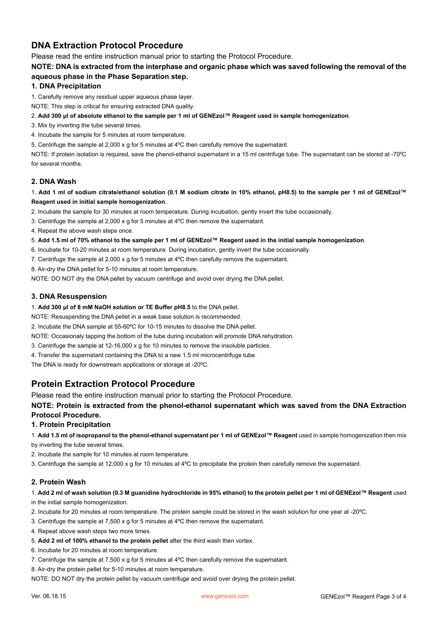# **DNA Extraction Protocol Procedure**

Please read the entire instruction manual prior to starting the Protocol Procedure.

**NOTE: DNA is extracted from the interphase and organic phase which was saved following the removal of the aqueous phase in the Phase Separation step.** 

### **1. DNA Precipitation**

1. Carefully remove any residual upper aqueous phase layer.

NOTE: This step is critical for ensuring extracted DNA quality.

- 2. **Add 300 μl of absolute ethanol to the sample per 1 ml of GENEzol™ Reagent used in sample homogenization**.
- 3. Mix by inverting the tube several times.
- 4. Incubate the sample for 5 minutes at room temperature.

5. Centrifuge the sample at 2,000 x g for 5 minutes at 4ºC then carefully remove the supernatant.

NOTE: If protein isolation is required, save the phenol-ethanol supernatant in a 15 ml centrifuge tube. The supernatant can be stored at -70ºC for several months.

#### **2. DNA Wash**

1. **Add 1 ml of sodium citrate/ethanol solution (0.1 M sodium citrate in 10% ethanol, pH8.5) to the sample per 1 ml of GENEzol™ Reagent used in initial sample homogenization**.

2. Incubate the sample for 30 minutes at room temperature. During incubation, gently invert the tube occasionally.

3. Centrifuge the sample at 2,000 x g for 5 minutes at 4ºC then remove the supernatant.

- 4. Repeat the above wash steps once.
- 5. **Add 1.5 ml of 70% ethanol to the sample per 1 ml of GENEzol™ Reagent used in the initial sample homogenization**.
- 6. Incubate for 10-20 minutes at room temperature. During incubation, gently invert the tube occasionally.
- 7. Centrifuge the sample at 2,000 x g for 5 minutes at 4ºC then carefully remove the supernatant.
- 8. Air-dry the DNA pellet for 5-10 minutes at room temperature.

NOTE: DO NOT dry the DNA pellet by vacuum centrifuge and avoid over drying the DNA pellet.

#### **3. DNA Resuspension**

1. **Add 300 μl of 8 mM NaOH solution or TE Buffer pH8.5** to the DNA pellet.

NOTE: Resuspending the DNA pellet in a weak base solution is recommended.

- 2. Incubate the DNA sample at 55-60ºC for 10-15 minutes to dissolve the DNA pellet.
- NOTE: Occasionaly tapping the bottom of the tube during incubation will promote DNA rehydration.
- 3. Centrifuge the sample at 12-16,000 x g for 10 minutes to remove the insoluble particles.
- 4. Transfer the supernatant containing the DNA to a new 1.5 ml microcentrifuge tube.

The DNA is ready for downstream applications or storage at -20ºC.

# **Protein Extraction Protocol Procedure**

Please read the entire instruction manual prior to starting the Protocol Procedure.

**NOTE: Protein is extracted from the phenol-ethanol supernatant which was saved from the DNA Extraction Protocol Procedure.** 

### **1. Protein Precipitation**

- 1. **Add 1.5 ml of isopropanol to the phenol-ethanol supernatant per 1 ml of GENEzol™ Reagent** used in sample homogenization then mix by inverting the tube several times.
- 2. Incubate the sample for 10 minutes at room temperature.
- 3. Centrifuge the sample at 12,000 x g for 10 minutes at 4ºC to precipitate the protein then carefully remove the supernatant.

# **2. Protein Wash**

# 1. **Add 2 ml of wash solution (0.3 M guanidine hydrochloride in 95% ethanol) to the protein pellet per 1 ml of GENEzol™ Reagent** used

in the initial sample homogenization.

- 2. Incubate for 20 minutes at room temperature. The protein sample could be stored in the wash solution for one year at -20ºC.
- 3. Centrifuge the sample at 7,500 x g for 5 minutes at 4ºC then remove the supernatant.
- 4. Repeat above wash steps two more times.
- 5. **Add 2 ml of 100% ethanol to the protein pellet** after the third wash then vortex.
- 6. Incubate for 20 minutes at room temperature.
- 7. Centrifuge the sample at 7,500 x g for 5 minutes at 4ºC then carefully remove the supernatant.
- 8. Air-dry the protein pellet for 5-10 minutes at room temperature.

NOTE: DO NOT dry the protein pellet by vacuum centrifuge and avoid over drying the protein pellet.